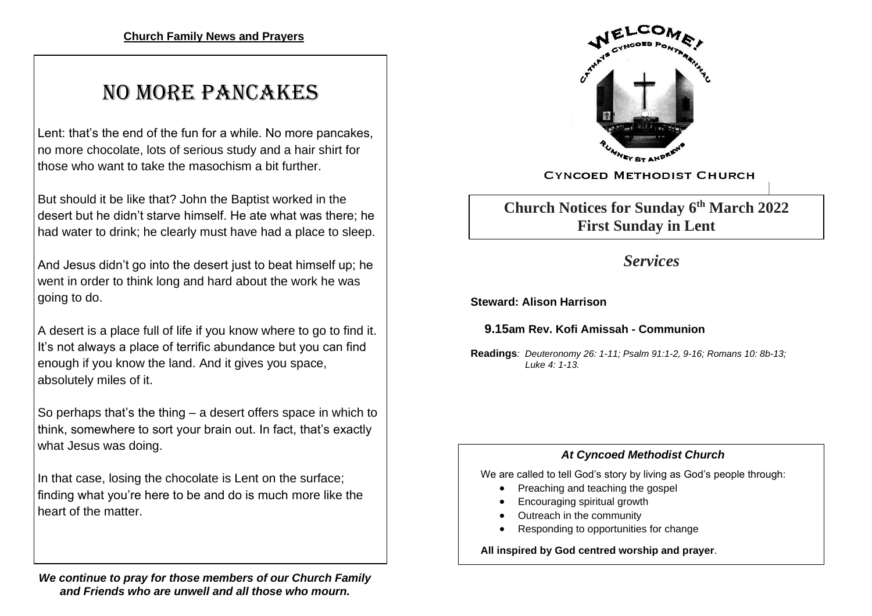# NO MORE PANCAKES

Lent: that's the end of the fun for a while. No more pancakes, no more chocolate, lots of serious study and a hair shirt for those who want to take the masochism a bit further.

But should it be like that? John the Baptist worked in the desert but he didn't starve himself. He ate what was there; he had water to drink; he clearly must have had a place to sleep.

And Jesus didn't go into the desert just to beat himself up; he went in order to think long and hard about the work he was going to do.

A desert is a place full of life if you know where to go to find it. It's not always a place of terrific abundance but you can find enough if you know the land. And it gives you space, absolutely miles of it.

So perhaps that's the thing – a desert offers space in which to think, somewhere to sort your brain out. In fact, that's exactly what Jesus was doing.

In that case, losing the chocolate is Lent on the surface; finding what you're here to be and do is much more like the heart of the matter.

*We continue to pray for those members of our Church Family and Friends who are unwell and all those who mourn.*



**CYNCOED METHODIST CHURCH** 

**Church Notices for Sunday 6 th March 2022 First Sunday in Lent**

## *Services*

**Steward: Alison Harrison**

 **9.15am Rev. Kofi Amissah - Communion**

**Readings***: Deuteronomy 26: 1-11; Psalm 91:1-2, 9-16; Romans 10: 8b-13; Luke 4: 1-13.*

### *At Cyncoed Methodist Church*

We are called to tell God's story by living as God's people through:

- Preaching and teaching the gospel
- Encouraging spiritual growth
- Outreach in the community
- Responding to opportunities for change

**All inspired by God centred worship and prayer**.